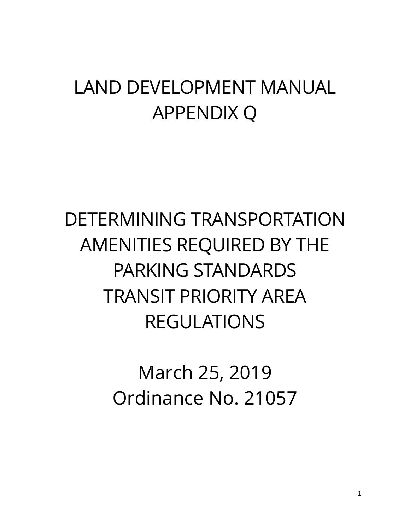## LAND DEVELOPMENT MANUAL APPENDIX Q

# DETERMINING TRANSPORTATION AMENITIES REQUIRED BY THE PARKING STANDARDS TRANSIT PRIORITY AREA REGULATIONS

March 25, 2019 Ordinance No. 21057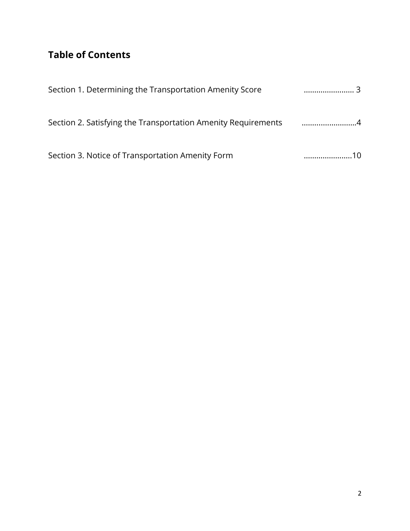### **Table of Contents**

| Section 1. Determining the Transportation Amenity Score       | 3 |
|---------------------------------------------------------------|---|
| Section 2. Satisfying the Transportation Amenity Requirements |   |
| Section 3. Notice of Transportation Amenity Form              |   |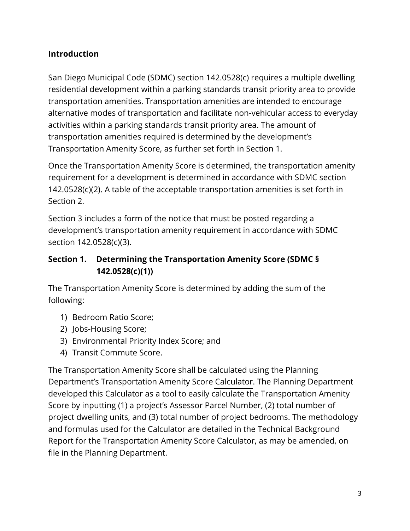#### **Introduction**

San Diego Municipal Code (SDMC) section 142.0528(c) requires a multiple dwelling residential development within a parking standards transit priority area to provide transportation amenities. Transportation amenities are intended to encourage alternative modes of transportation and facilitate non-vehicular access to everyday activities within a parking standards transit priority area. The amount of transportation amenities required is determined by the development's Transportation Amenity Score, as further set forth in Section 1.

Once the Transportation Amenity Score is determined, the transportation amenity requirement for a development is determined in accordance with SDMC section 142.0528(c)(2). A table of the acceptable transportation amenities is set forth in Section 2.

Section 3 includes a form of the notice that must be posted regarding a development's transportation amenity requirement in accordance with SDMC section 142.0528(c)(3).

#### **Section 1. Determining the Transportation Amenity Score (SDMC § 142.0528(c)(1))**

The Transportation Amenity Score is determined by adding the sum of the following:

- 1) Bedroom Ratio Score;
- 2) Jobs-Housing Score;
- 3) Environmental Priority Index Score; and
- 4) Transit Commute Score.

The Transportation Amenity Score shall be calculated using the Planning Department's Transportation Amenity Score [Calculator.](https://www.sandiego.gov/sites/default/files/transportation_amenity_requirement_calculator_03092020.xlsx) The Planning Department developed this Calculator as a tool to easily calculate the Transportation Amenity Score by inputting (1) a project's Assessor Parcel Number, (2) total number of project dwelling units, and (3) total number of project bedrooms. The methodology and formulas used for the Calculator are detailed in the Technical Background Report for the Transportation Amenity Score Calculator, as may be amended, on file in the Planning Department.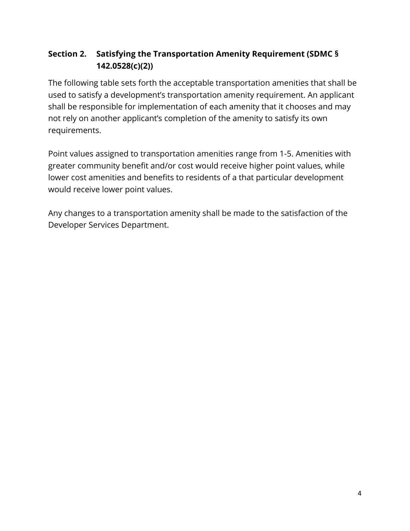#### **Section 2. Satisfying the Transportation Amenity Requirement (SDMC § 142.0528(c)(2))**

The following table sets forth the acceptable transportation amenities that shall be used to satisfy a development's transportation amenity requirement. An applicant shall be responsible for implementation of each amenity that it chooses and may not rely on another applicant's completion of the amenity to satisfy its own requirements.

Point values assigned to transportation amenities range from 1-5. Amenities with greater community benefit and/or cost would receive higher point values, while lower cost amenities and benefits to residents of a that particular development would receive lower point values.

Any changes to a transportation amenity shall be made to the satisfaction of the Developer Services Department.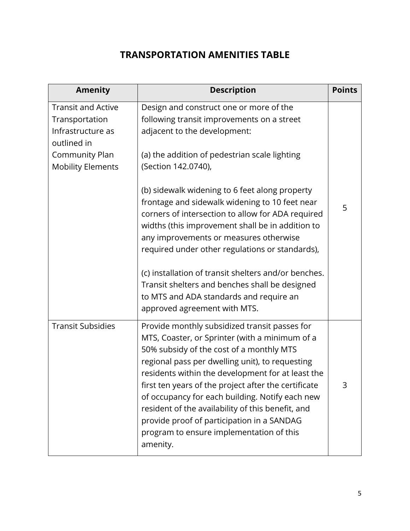#### **TRANSPORTATION AMENITIES TABLE**

| <b>Amenity</b>                                                                                                                | <b>Description</b>                                                                                                                                                                                                                                                                                                                                                                                                                                                                                                                                                                                                                                                                           | <b>Points</b> |
|-------------------------------------------------------------------------------------------------------------------------------|----------------------------------------------------------------------------------------------------------------------------------------------------------------------------------------------------------------------------------------------------------------------------------------------------------------------------------------------------------------------------------------------------------------------------------------------------------------------------------------------------------------------------------------------------------------------------------------------------------------------------------------------------------------------------------------------|---------------|
| <b>Transit and Active</b><br>Transportation<br>Infrastructure as<br>outlined in<br>Community Plan<br><b>Mobility Elements</b> | Design and construct one or more of the<br>following transit improvements on a street<br>adjacent to the development:<br>(a) the addition of pedestrian scale lighting<br>(Section 142.0740),<br>(b) sidewalk widening to 6 feet along property<br>frontage and sidewalk widening to 10 feet near<br>corners of intersection to allow for ADA required<br>widths (this improvement shall be in addition to<br>any improvements or measures otherwise<br>required under other regulations or standards),<br>(c) installation of transit shelters and/or benches.<br>Transit shelters and benches shall be designed<br>to MTS and ADA standards and require an<br>approved agreement with MTS. | 5             |
| <b>Transit Subsidies</b>                                                                                                      | Provide monthly subsidized transit passes for<br>MTS, Coaster, or Sprinter (with a minimum of a<br>50% subsidy of the cost of a monthly MTS<br>regional pass per dwelling unit), to requesting<br>residents within the development for at least the<br>first ten years of the project after the certificate<br>of occupancy for each building. Notify each new<br>resident of the availability of this benefit, and<br>provide proof of participation in a SANDAG<br>program to ensure implementation of this<br>amenity.                                                                                                                                                                    | 3             |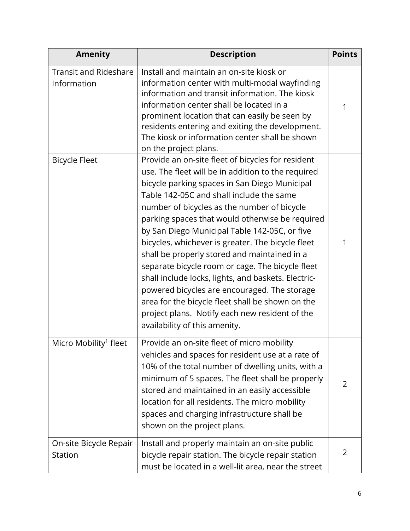| <b>Amenity</b>                              | <b>Description</b>                                                                                                                                                                                                                                                                                                                                                                                                                                                                                                                                                                                                                                                                                                                                             | <b>Points</b> |
|---------------------------------------------|----------------------------------------------------------------------------------------------------------------------------------------------------------------------------------------------------------------------------------------------------------------------------------------------------------------------------------------------------------------------------------------------------------------------------------------------------------------------------------------------------------------------------------------------------------------------------------------------------------------------------------------------------------------------------------------------------------------------------------------------------------------|---------------|
| <b>Transit and Rideshare</b><br>Information | Install and maintain an on-site kiosk or<br>information center with multi-modal wayfinding<br>information and transit information. The kiosk<br>information center shall be located in a<br>prominent location that can easily be seen by<br>residents entering and exiting the development.<br>The kiosk or information center shall be shown<br>on the project plans.                                                                                                                                                                                                                                                                                                                                                                                        | 1             |
| <b>Bicycle Fleet</b>                        | Provide an on-site fleet of bicycles for resident<br>use. The fleet will be in addition to the required<br>bicycle parking spaces in San Diego Municipal<br>Table 142-05C and shall include the same<br>number of bicycles as the number of bicycle<br>parking spaces that would otherwise be required<br>by San Diego Municipal Table 142-05C, or five<br>bicycles, whichever is greater. The bicycle fleet<br>shall be properly stored and maintained in a<br>separate bicycle room or cage. The bicycle fleet<br>shall include locks, lights, and baskets. Electric-<br>powered bicycles are encouraged. The storage<br>area for the bicycle fleet shall be shown on the<br>project plans. Notify each new resident of the<br>availability of this amenity. | 1             |
| Micro Mobility <sup>1</sup> fleet           | Provide an on-site fleet of micro mobility<br>vehicles and spaces for resident use at a rate of<br>10% of the total number of dwelling units, with a<br>minimum of 5 spaces. The fleet shall be properly<br>stored and maintained in an easily accessible<br>location for all residents. The micro mobility<br>spaces and charging infrastructure shall be<br>shown on the project plans.                                                                                                                                                                                                                                                                                                                                                                      | 2             |
| On-site Bicycle Repair<br>Station           | Install and properly maintain an on-site public<br>bicycle repair station. The bicycle repair station<br>must be located in a well-lit area, near the street                                                                                                                                                                                                                                                                                                                                                                                                                                                                                                                                                                                                   | 2             |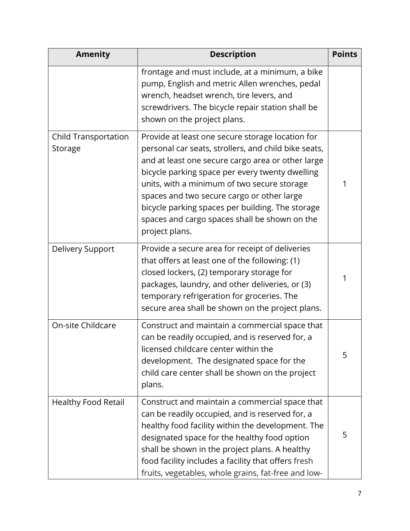| <b>Amenity</b>                         | <b>Description</b>                                                                                                                                                                                                                                                                                                                                                                                                                   | <b>Points</b> |
|----------------------------------------|--------------------------------------------------------------------------------------------------------------------------------------------------------------------------------------------------------------------------------------------------------------------------------------------------------------------------------------------------------------------------------------------------------------------------------------|---------------|
|                                        | frontage and must include, at a minimum, a bike<br>pump, English and metric Allen wrenches, pedal<br>wrench, headset wrench, tire levers, and<br>screwdrivers. The bicycle repair station shall be<br>shown on the project plans.                                                                                                                                                                                                    |               |
| <b>Child Transportation</b><br>Storage | Provide at least one secure storage location for<br>personal car seats, strollers, and child bike seats,<br>and at least one secure cargo area or other large<br>bicycle parking space per every twenty dwelling<br>units, with a minimum of two secure storage<br>spaces and two secure cargo or other large<br>bicycle parking spaces per building. The storage<br>spaces and cargo spaces shall be shown on the<br>project plans. | 1             |
| Delivery Support                       | Provide a secure area for receipt of deliveries<br>that offers at least one of the following: (1)<br>closed lockers, (2) temporary storage for<br>packages, laundry, and other deliveries, or (3)<br>temporary refrigeration for groceries. The<br>secure area shall be shown on the project plans.                                                                                                                                  | 1             |
| On-site Childcare                      | Construct and maintain a commercial space that<br>can be readily occupied, and is reserved for, a<br>licensed childcare center within the<br>development. The designated space for the<br>child care center shall be shown on the project<br>plans.                                                                                                                                                                                  | 5             |
| <b>Healthy Food Retail</b>             | Construct and maintain a commercial space that<br>can be readily occupied, and is reserved for, a<br>healthy food facility within the development. The<br>designated space for the healthy food option<br>shall be shown in the project plans. A healthy<br>food facility includes a facility that offers fresh<br>fruits, vegetables, whole grains, fat-free and low-                                                               | 5             |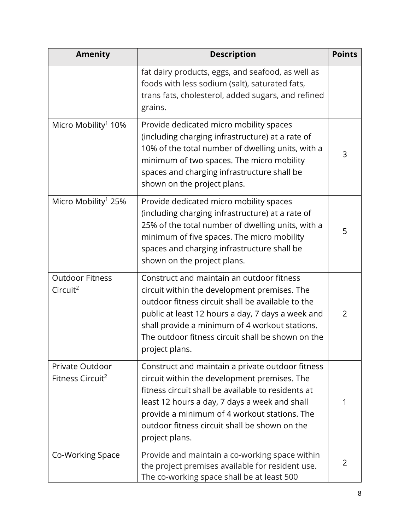| <b>Amenity</b>                                  | <b>Description</b>                                                                                                                                                                                                                                                                                                           | <b>Points</b> |
|-------------------------------------------------|------------------------------------------------------------------------------------------------------------------------------------------------------------------------------------------------------------------------------------------------------------------------------------------------------------------------------|---------------|
|                                                 | fat dairy products, eggs, and seafood, as well as<br>foods with less sodium (salt), saturated fats,<br>trans fats, cholesterol, added sugars, and refined<br>grains.                                                                                                                                                         |               |
| Micro Mobility <sup>1</sup> 10%                 | Provide dedicated micro mobility spaces<br>(including charging infrastructure) at a rate of<br>10% of the total number of dwelling units, with a<br>minimum of two spaces. The micro mobility<br>spaces and charging infrastructure shall be<br>shown on the project plans.                                                  | 3             |
| Micro Mobility <sup>1</sup> 25%                 | Provide dedicated micro mobility spaces<br>(including charging infrastructure) at a rate of<br>25% of the total number of dwelling units, with a<br>minimum of five spaces. The micro mobility<br>spaces and charging infrastructure shall be<br>shown on the project plans.                                                 | 5             |
| <b>Outdoor Fitness</b><br>Circuit <sup>2</sup>  | Construct and maintain an outdoor fitness<br>circuit within the development premises. The<br>outdoor fitness circuit shall be available to the<br>public at least 12 hours a day, 7 days a week and<br>shall provide a minimum of 4 workout stations.<br>The outdoor fitness circuit shall be shown on the<br>project plans. | 2             |
| Private Outdoor<br>Fitness Circuit <sup>2</sup> | Construct and maintain a private outdoor fitness<br>circuit within the development premises. The<br>fitness circuit shall be available to residents at<br>least 12 hours a day, 7 days a week and shall<br>provide a minimum of 4 workout stations. The<br>outdoor fitness circuit shall be shown on the<br>project plans.   | 1             |
| Co-Working Space                                | Provide and maintain a co-working space within<br>the project premises available for resident use.<br>The co-working space shall be at least 500                                                                                                                                                                             | 2             |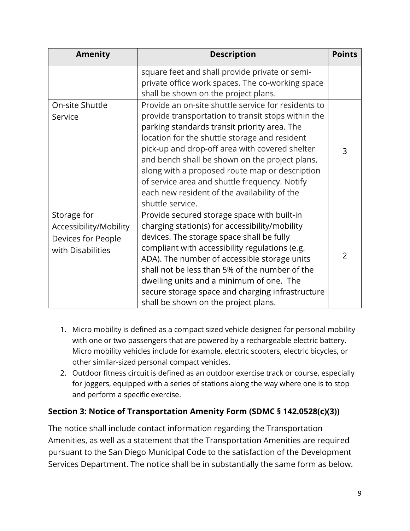| <b>Amenity</b>                                                                   | <b>Description</b>                                                                                                                                                                                                                                                                                                                                                                                                                                                                    | <b>Points</b>  |
|----------------------------------------------------------------------------------|---------------------------------------------------------------------------------------------------------------------------------------------------------------------------------------------------------------------------------------------------------------------------------------------------------------------------------------------------------------------------------------------------------------------------------------------------------------------------------------|----------------|
|                                                                                  | square feet and shall provide private or semi-<br>private office work spaces. The co-working space<br>shall be shown on the project plans.                                                                                                                                                                                                                                                                                                                                            |                |
| On-site Shuttle<br>Service                                                       | Provide an on-site shuttle service for residents to<br>provide transportation to transit stops within the<br>parking standards transit priority area. The<br>location for the shuttle storage and resident<br>pick-up and drop-off area with covered shelter<br>and bench shall be shown on the project plans,<br>along with a proposed route map or description<br>of service area and shuttle frequency. Notify<br>each new resident of the availability of the<br>shuttle service. | 3              |
| Storage for<br>Accessibility/Mobility<br>Devices for People<br>with Disabilities | Provide secured storage space with built-in<br>charging station(s) for accessibility/mobility<br>devices. The storage space shall be fully<br>compliant with accessibility regulations (e.g.<br>ADA). The number of accessible storage units<br>shall not be less than 5% of the number of the<br>dwelling units and a minimum of one. The<br>secure storage space and charging infrastructure<br>shall be shown on the project plans.                                                | $\overline{2}$ |

- 1. Micro mobility is defined as a compact sized vehicle designed for personal mobility with one or two passengers that are powered by a rechargeable electric battery. Micro mobility vehicles include for example, electric scooters, electric bicycles, or other similar-sized personal compact vehicles.
- 2. Outdoor fitness circuit is defined as an outdoor exercise track or course, especially for joggers, equipped with a series of stations along the way where one is to stop and perform a specific exercise.

#### **Section 3: Notice of Transportation Amenity Form (SDMC § 142.0528(c)(3))**

The notice shall include contact information regarding the Transportation Amenities, as well as a statement that the Transportation Amenities are required pursuant to the San Diego Municipal Code to the satisfaction of the Development Services Department. The notice shall be in substantially the same form as below.